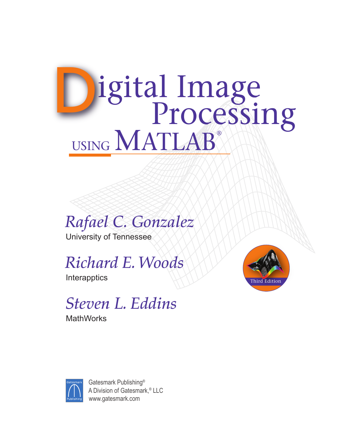# Digital Image USING MATLAB®



University of Tennessee

*Richard E. Woods*

**Interapptics** 

# *Steven L. Eddins*

**MathWorks** 





Gatesmark Publishing® A Division of Gatesmark,® LLC www.gatesmark.com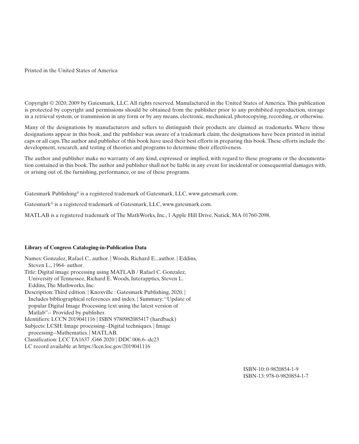Printed in the United States of America

Copyright © 2020, 2009 by Gatesmark, LLC. All rights reserved. Manufactured in the United States of America. This publication is protected by copyright and permissions should be obtained from the publisher prior to any prohibited reproduction, storage in a retrieval system, or transmission in any form or by any means, electronic, mechanical, photocopying, recording, or otherwise.

Many of the designations by manufacturers and sellers to distinguish their products are claimed as trademarks. Where those designations appear in this book, and the publisher was aware of a trademark claim, the designations have been printed in initial caps or all caps. The author and publisher of this book have used their best efforts in preparing this book. These efforts include the development, research, and testing of theories and programs to determine their effectiveness.

The author and publisher make no warranty of any kind, expressed or implied, with regard to these programs or the documentation contained in this book. The author and publisher shall not be liable in any event for incidental or consequential damages with, or arising out of, the furnishing, performance, or use of these programs.

Gatesmark Publishing® is a registered trademark of Gatesmark, LLC, www.gatesmark.com.

Gatesmark® is a registered trademark of Gatesmark, LLC, www.gatesmark.com.

MATLAB is a registered trademark of The MathWorks, Inc., 1 Apple Hill Drive, Natick, MA 01760-2098.

#### **Library of Congress Cataloging-in-Publication Data**

Names: Gonzalez, Rafael C., author. | Woods, Richard E., author. | Eddins, Steven L., 1964- author. Title: Digital image processing using MATLAB / Rafael C. Gonzalez, University of Tennessee, Richard E. Woods, Interapptics, Steven L. Eddins, The Mathworks, Inc. Description: Third edition. | Knoxville : Gatesmark Publishing, 2020. | Includes bibliographical references and index. | Summary: "Update of popular Digital Image Processing text using the latest version of Matlab"-- Provided by publisher. Identifiers: LCCN 2019041116 | ISBN 9780982085417 (hardback) Subjects: LCSH: Image processing--Digital techniques. | Image processing--Mathematics. | MATLAB. Classification: LCC TA1637 .G66 2020 | DDC 006.6--dc23 LC record available at https://lccn.loc.gov/2019041116

> ISBN-10: 0-9820854-1-9 ISBN-13: 978-0-9820854-1-7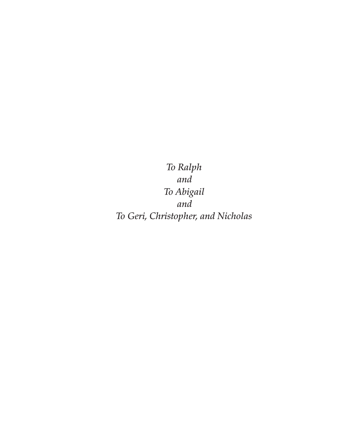*To Ralph and To Abigail and To Geri, Christopher, and Nicholas*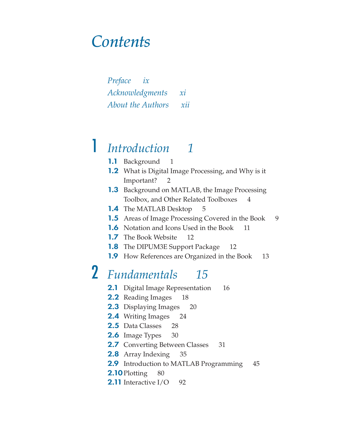## *Contents*

*Preface ix Acknowledgments xi About the Authors xii*

# 1 *Introduction 1*

- 1.1 Background 1
- 1.2 What is Digital Image Processing, and Why is it Important? 2
- **1.3** Background on MATLAB, the Image Processing Toolbox, and Other Related Toolboxes 4
- **1.4** The MATLAB Desktop 5
- **1.5** Areas of Image Processing Covered in the Book 9
- **1.6** Notation and Icons Used in the Book 11
- **1.7** The Book Website 12
- **1.8** The DIPUM3E Support Package 12
- 1.9 How References are Organized in the Book 13

# 2 *Fundamentals 15*

- 2.1 Digital Image Representation 16
- **2.2** Reading Images 18
- **2.3** Displaying Images 20
- **2.4** Writing Images 24
- 2.5 Data Classes 28
- **2.6** Image Types 30
- **2.7** Converting Between Classes 31
- **2.8** Array Indexing 35
- **2.9** Introduction to MATLAB Programming 45
- **2.10** Plotting 80
- **2.11** Interactive I/O 92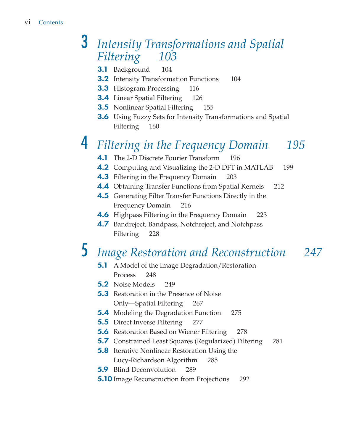## 3 *Intensity Transformations and Spatial Filtering 103*

- **3.1** Background 104
- **3.2** Intensity Transformation Functions 104
- **3.3** Histogram Processing 116
- **3.4** Linear Spatial Filtering 126
- **3.5** Nonlinear Spatial Filtering 155
- **3.6** Using Fuzzy Sets for Intensity Transformations and Spatial Filtering 160

# 4 *Filtering in the Frequency Domain 195*

- **4.1** The 2-D Discrete Fourier Transform 196
- **4.2** Computing and Visualizing the 2-D DFT in MATLAB 199
- **4.3** Filtering in the Frequency Domain 203
- **4.4** Obtaining Transfer Functions from Spatial Kernels 212
- **4.5** Generating Filter Transfer Functions Directly in the Frequency Domain 216
- **4.6** Highpass Filtering in the Frequency Domain 223
- **4.7** Bandreject, Bandpass, Notchreject, and Notchpass Filtering 228

# 5 *Image Restoration and Reconstruction 247*

- **5.1** A Model of the Image Degradation/Restoration Process 248
- 5.2 Noise Models 249
- **5.3** Restoration in the Presence of Noise Only—Spatial Filtering 267
- **5.4** Modeling the Degradation Function 275
- **5.5** Direct Inverse Filtering 277
- **5.6** Restoration Based on Wiener Filtering 278
- **5.7** Constrained Least Squares (Regularized) Filtering 281
- **5.8** Iterative Nonlinear Restoration Using the Lucy-Richardson Algorithm 285
- **5.9** Blind Deconvolution 289
- **5.10** Image Reconstruction from Projections 292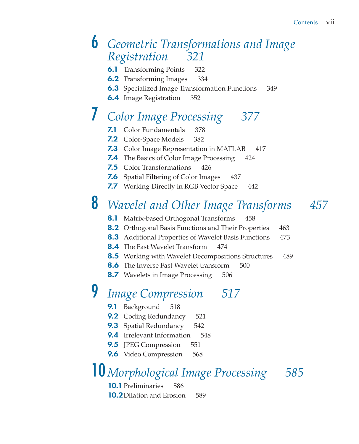#### 6 *Geometric Transformations and Image Registration 321*

- **6.1** Transforming Points 322
- **6.2** Transforming Images 334
- **6.3** Specialized Image Transformation Functions 349
- **6.4** Image Registration 352

# 7 *Color Image Processing 377*

- **7.1** Color Fundamentals 378
- 7.2 Color-Space Models 382
- **7.3** Color Image Representation in MATLAB 417
- **7.4** The Basics of Color Image Processing 424
- **7.5** Color Transformations 426
- **7.6** Spatial Filtering of Color Images 437
- **7.7** Working Directly in RGB Vector Space 442

# 8 *Wavelet and Other Image Transforms 457*

- **8.1** Matrix-based Orthogonal Transforms 458
- **8.2** Orthogonal Basis Functions and Their Properties 463
- **8.3** Additional Properties of Wavelet Basis Functions 473
- **8.4** The Fast Wavelet Transform 474
- **8.5** Working with Wavelet Decompositions Structures 489
- **8.6** The Inverse Fast Wavelet transform 500
- **8.7** Wavelets in Image Processing 506

# 9 *Image Compression 517*

- 9.1 Background 518
- **9.2** Coding Redundancy 521
- **9.3** Spatial Redundancy 542
- 9.4 Irrelevant Information 548
- **9.5** JPEG Compression 551
- 9.6 Video Compression 568

## 10*Morphological Image Processing 585*

**10.1** Preliminaries 586 **10.2** Dilation and Erosion 589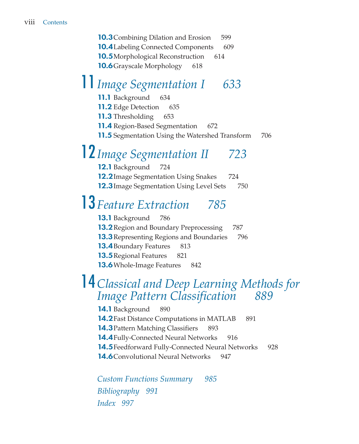**10.3** Combining Dilation and Erosion 599 **10.4** Labeling Connected Components 609 **10.5**Morphological Reconstruction 614 **10.6**Grayscale Morphology 618

# 11*Image Segmentation I 633*

11.1 Background 634

**11.2** Edge Detection 635

**11.3** Thresholding 653

**11.4** Region-Based Segmentation 672

**11.5** Segmentation Using the Watershed Transform 706

# 12*Image Segmentation II 723*

12.1 Background 724 **12.2** Image Segmentation Using Snakes 724 **12.3** Image Segmentation Using Level Sets 750

# 13 *Feature Extraction 785*

13.1 Background 786 **13.2** Region and Boundary Preprocessing 787 **13.3** Representing Regions and Boundaries 796 **13.4** Boundary Features 813 **13.5** Regional Features 821 **13.6** Whole-Image Features 842

### 14*Classical and Deep Learning Methods for Image Pattern Classification 889*

14.1 Background 890 **14.2** Fast Distance Computations in MATLAB 891 **14.3** Pattern Matching Classifiers 893 **14.4** Fully-Connected Neural Networks 916 14.5 Feedforward Fully-Connected Neural Networks 928 **14.6**Convolutional Neural Networks 947

*Custom Functions Summary 985 Bibliography 991 Index 997*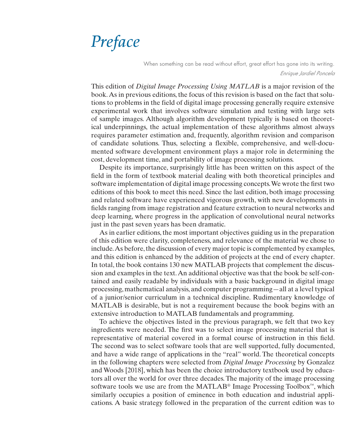# *Preface*

When something can be read without effort, great effort has gone into its writing. *Enrique Jardiel Poncela*

This edition of *Digital Image Processing Using MATLAB* is a major revision of the book. As in previous editions, the focus of this revision is based on the fact that solutions to problems in the field of digital image processing generally require extensive experimental work that involves software simulation and testing with large sets of sample images. Although algorithm development typically is based on theoretical underpinnings, the actual implementation of these algorithms almost always requires parameter estimation and, frequently, algorithm revision and comparison of candidate solutions. Thus, selecting a flexible, comprehensive, and well-documented software development environment plays a major role in determining the cost, development time, and portability of image processing solutions.

Despite its importance, surprisingly little has been written on this aspect of the field in the form of textbook material dealing with both theoretical principles and software implementation of digital image processing concepts. We wrote the first two editions of this book to meet this need. Since the last edition, both image processing and related software have experienced vigorous growth, with new developments in fields ranging from image registration and feature extraction to neural networks and deep learning, where progress in the application of convolutional neural networks just in the past seven years has been dramatic.

As in earlier editions, the most important objectives guiding us in the preparation of this edition were clarity, completeness, and relevance of the material we chose to include. As before, the discussion of every major topic is complemented by examples, and this edition is enhanced by the addition of projects at the end of every chapter. In total, the book contains 130 new MATLAB projects that complement the discussion and examples in the text. An additional objective was that the book be self-contained and easily readable by individuals with a basic background in digital image processing, mathematical analysis, and computer programming—all at a level typical of a junior/senior curriculum in a technical discipline. Rudimentary knowledge of MATLAB is desirable, but is not a requirement because the book begins with an extensive introduction to MATLAB fundamentals and programming.

To achieve the objectives listed in the previous paragraph, we felt that two key ingredients were needed. The first was to select image processing material that is representative of material covered in a formal course of instruction in this field. The second was to select software tools that are well supported, fully documented, and have a wide range of applications in the "real" world. The theoretical concepts in the following chapters were selected from *Digital Image Processing* by Gonzalez and Woods [2018], which has been the choice introductory textbook used by educators all over the world for over three decades. The majority of the image processing software tools we use are from the MATLAB® Image Processing Toolbox™, which similarly occupies a position of eminence in both education and industrial applications. A basic strategy followed in the preparation of the current edition was to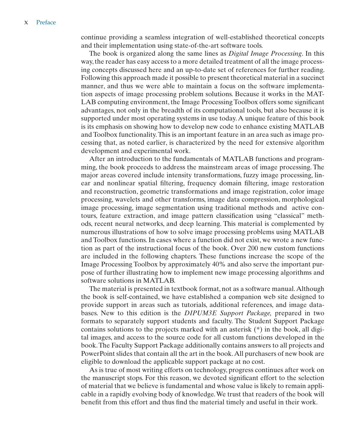continue providing a seamless integration of well-established theoretical concepts and their implementation using state-of-the-art software tools.

The book is organized along the same lines as *Digital Image Processing*. In this way, the reader has easy access to a more detailed treatment of all the image processing concepts discussed here and an up-to-date set of references for further reading. Following this approach made it possible to present theoretical material in a succinct manner, and thus we were able to maintain a focus on the software implementation aspects of image processing problem solutions. Because it works in the MAT-LAB computing environment, the Image Processing Toolbox offers some significant advantages, not only in the breadth of its computational tools, but also because it is supported under most operating systems in use today. A unique feature of this book is its emphasis on showing how to develop new code to enhance existing MATLAB and Toolbox functionality. This is an important feature in an area such as image processing that, as noted earlier, is characterized by the need for extensive algorithm development and experimental work.

After an introduction to the fundamentals of MATLAB functions and programming, the book proceeds to address the mainstream areas of image processing. The major areas covered include intensity transformations, fuzzy image processing, linear and nonlinear spatial filtering, frequency domain filtering, image restoration and reconstruction, geometric transformations and image registration, color image processing, wavelets and other transforms, image data compression, morphological image processing, image segmentation using traditional methods and active contours, feature extraction, and image pattern classification using "classical" methods, recent neural networks, and deep learning. This material is complemented by numerous illustrations of how to solve image processing problems using MATLAB and Toolbox functions. In cases where a function did not exist, we wrote a new function as part of the instructional focus of the book. Over 200 new custom functions are included in the following chapters. These functions increase the scope of the Image Processing Toolbox by approximately 40% and also serve the important purpose of further illustrating how to implement new image processing algorithms and software solutions in MATLAB.

The material is presented in textbook format, not as a software manual. Although the book is self-contained, we have established a companion web site designed to provide support in areas such as tutorials, additional references, and image databases. New to this edition is the *DIPUM3E Support Package,* prepared in two formats to separately support students and faculty. The Student Support Package contains solutions to the projects marked with an asterisk (\*) in the book, all digital images, and access to the source code for all custom functions developed in the book. The Faculty Support Package additionally contains answers to all projects and PowerPoint slides that contain all the art in the book. All purchasers of new book are eligible to download the applicable support package at no cost.

As is true of most writing efforts on technology, progress continues after work on the manuscript stops. For this reason, we devoted significant effort to the selection of material that we believe is fundamental and whose value is likely to remain applicable in a rapidly evolving body of knowledge. We trust that readers of the book will benefit from this effort and thus find the material timely and useful in their work.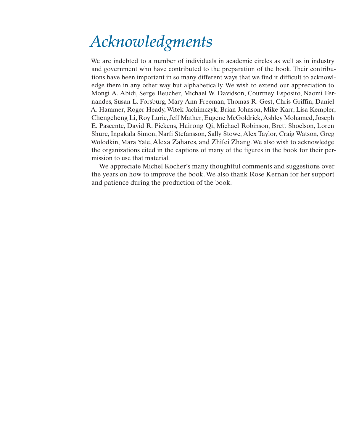# *Acknowledgments*

We are indebted to a number of individuals in academic circles as well as in industry and government who have contributed to the preparation of the book. Their contributions have been important in so many different ways that we find it difficult to acknowledge them in any other way but alphabetically. We wish to extend our appreciation to Mongi A. Abidi, Serge Beucher, Michael W. Davidson, Courtney Esposito, Naomi Fernandes, Susan L. Forsburg, Mary Ann Freeman, Thomas R. Gest, Chris Griffin, Daniel A. Hammer, Roger Heady, Witek Jachimczyk, Brian Johnson, Mike Karr, Lisa Kempler, Chengcheng Li, Roy Lurie, Jeff Mather, Eugene McGoldrick, Ashley Mohamed, Joseph E. Pascente, David R. Pickens, Hairong Qi, Michael Robinson, Brett Shoelson, Loren Shure, Inpakala Simon, Narfi Stefansson, Sally Stowe, Alex Taylor, Craig Watson, Greg Wolodkin, Mara Yale, Alexa Zahares, and Zhifei Zhang. We also wish to acknowledge the organizations cited in the captions of many of the figures in the book for their permission to use that material.

We appreciate Michel Kocher's many thoughtful comments and suggestions over the years on how to improve the book. We also thank Rose Kernan for her support and patience during the production of the book.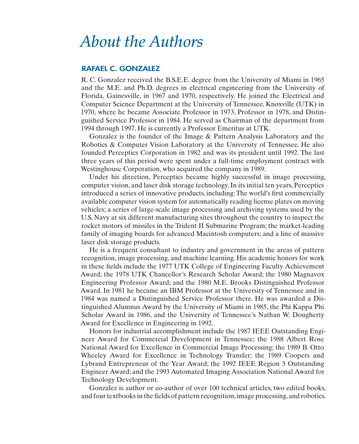## *About the Authors*

#### RAFAEL C. GONZALEZ

R. C. Gonzalez received the B.S.E.E. degree from the University of Miami in 1965 and the M.E. and Ph.D. degrees in electrical engineering from the University of Florida, Gainesville, in 1967 and 1970, respectively. He joined the Electrical and Computer Science Department at the University of Tennessee, Knoxville (UTK) in 1970, where he became Associate Professor in 1973, Professor in 1978, and Distinguished Service Professor in 1984. He served as Chairman of the department from 1994 through 1997. He is currently a Professor Emeritus at UTK.

Gonzalez is the founder of the Image & Pattern Analysis Laboratory and the Robotics & Computer Vision Laboratory at the University of Tennessee. He also founded Perceptics Corporation in 1982 and was its president until 1992. The last three years of this period were spent under a full-time employment contract with Westinghouse Corporation, who acquired the company in 1989.

Under his direction, Perceptics became highly successful in image processing, computer vision, and laser disk storage technology. In its initial ten years, Perceptics introduced a series of innovative products, including: The world's first commercially available computer vision system for automatically reading license plates on moving vehicles; a series of large-scale image processing and archiving systems used by the U.S. Navy at six different manufacturing sites throughout the country to inspect the rocket motors of missiles in the Trident II Submarine Program; the market-leading family of imaging boards for advanced Macintosh computers; and a line of massive laser disk storage products.

He is a frequent consultant to industry and government in the areas of pattern recognition, image processing, and machine learning. His academic honors for work in these fields include the 1977 UTK College of Engineering Faculty Achievement Award; the 1978 UTK Chancellor's Research Scholar Award; the 1980 Magnavox Engineering Professor Award; and the 1980 M.E. Brooks Distinguished Professor Award. In 1981 he became an IBM Professor at the University of Tennessee and in 1984 was named a Distinguished Service Professor there. He was awarded a Distinguished Alumnus Award by the University of Miami in 1985, the Phi Kappa Phi Scholar Award in 1986, and the University of Tennessee's Nathan W. Dougherty Award for Excellence in Engineering in 1992.

Honors for industrial accomplishment include the 1987 IEEE Outstanding Engineer Award for Commercial Development in Tennessee; the 1988 Albert Rose National Award for Excellence in Commercial Image Processing; the 1989 B. Otto Wheeley Award for Excellence in Technology Transfer; the 1989 Coopers and Lybrand Entrepreneur of the Year Award; the 1992 IEEE Region 3 Outstanding Engineer Award; and the 1993 Automated Imaging Association National Award for Technology Development.

Gonzalez is author or co-author of over 100 technical articles, two edited books, and four textbooks in the fields of pattern recognition, image processing, and robotics.